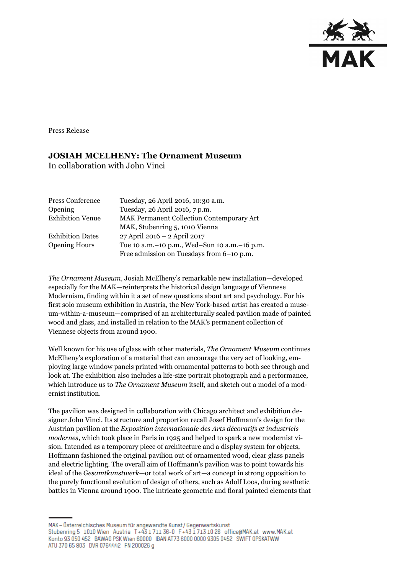

Press Release

## **JOSIAH MCELHENY: The Ornament Museum**

In collaboration with John Vinci

| Press Conference        | Tuesday, 26 April 2016, 10:30 a.m.               |
|-------------------------|--------------------------------------------------|
| Opening                 | Tuesday, 26 April 2016, 7 p.m.                   |
| <b>Exhibition Venue</b> | <b>MAK Permanent Collection Contemporary Art</b> |
|                         | MAK, Stubenring 5, 1010 Vienna                   |
| <b>Exhibition Dates</b> | 27 April 2016 - 2 April 2017                     |
| <b>Opening Hours</b>    | Tue 10 a.m. - 10 p.m., Wed-Sun 10 a.m. - 16 p.m. |
|                         | Free admission on Tuesdays from 6-10 p.m.        |

*The Ornament Museum,* Josiah McElheny's remarkable new installation—developed especially for the MAK—reinterprets the historical design language of Viennese Modernism, finding within it a set of new questions about art and psychology. For his first solo museum exhibition in Austria, the New York-based artist has created a museum-within-a-museum—comprised of an architecturally scaled pavilion made of painted wood and glass, and installed in relation to the MAK's permanent collection of Viennese objects from around 1900.

Well known for his use of glass with other materials, *The Ornament Museum* continues McElheny's exploration of a material that can encourage the very act of looking, employing large window panels printed with ornamental patterns to both see through and look at. The exhibition also includes a life-size portrait photograph and a performance, which introduce us to *The Ornament Museum* itself, and sketch out a model of a modernist institution.

The pavilion was designed in collaboration with Chicago architect and exhibition designer John Vinci. Its structure and proportion recall Josef Hoffmann's design for the Austrian pavilion at the *Exposition internationale des Arts décoratifs et industriels modernes*, which took place in Paris in 1925 and helped to spark a new modernist vision. Intended as a temporary piece of architecture and a display system for objects, Hoffmann fashioned the original pavilion out of ornamented wood, clear glass panels and electric lighting. The overall aim of Hoffmann's pavilion was to point towards his ideal of the *Gesamtkunstwerk—*or total work of art—a concept in strong opposition to the purely functional evolution of design of others, such as Adolf Loos, during aesthetic battles in Vienna around 1900. The intricate geometric and floral painted elements that

MAK - Österreichisches Museum für angewandte Kunst/Gegenwartskunst Stubenring 5 1010 Wien Austria T+43 1711 36-0 F+43 1713 10 26 office@MAK.at www.MAK.at Konto 93 050 452 BAWAG PSK Wien 60000 BAN AT73 6000 0000 9305 0452 SWIFT 0PSKATWW ATU 370 65 803 DVR 0764442 FN 200026 g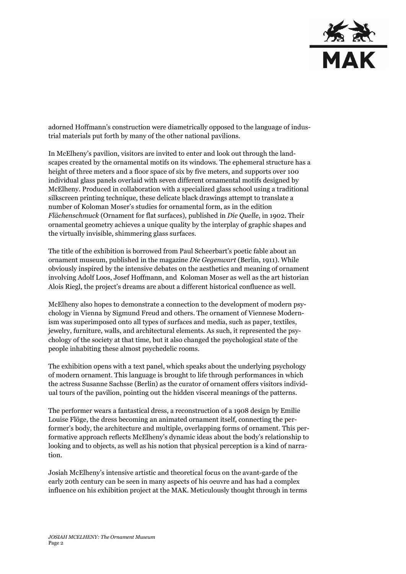

adorned Hoffmann's construction were diametrically opposed to the language of industrial materials put forth by many of the other national pavilions.

In McElheny's pavilion, visitors are invited to enter and look out through the landscapes created by the ornamental motifs on its windows. The ephemeral structure has a height of three meters and a floor space of six by five meters, and supports over 100 individual glass panels overlaid with seven different ornamental motifs designed by McElheny. Produced in collaboration with a specialized glass school using a traditional silkscreen printing technique, these delicate black drawings attempt to translate a number of Koloman Moser's studies for ornamental form, as in the edition *Flächenschmuck* (Ornament for flat surfaces), published in *Die Quelle*, in 1902. Their ornamental geometry achieves a unique quality by the interplay of graphic shapes and the virtually invisible, shimmering glass surfaces.

The title of the exhibition is borrowed from Paul Scheerbart's poetic fable about an ornament museum, published in the magazine *Die Gegenwart* (Berlin, 1911). While obviously inspired by the intensive debates on the aesthetics and meaning of ornament involving Adolf Loos, Josef Hoffmann, and Koloman Moser as well as the art historian Alois Riegl, the project's dreams are about a different historical confluence as well.

McElheny also hopes to demonstrate a connection to the development of modern psychology in Vienna by Sigmund Freud and others. The ornament of Viennese Modernism was superimposed onto all types of surfaces and media, such as paper, textiles, jewelry, furniture, walls, and architectural elements. As such, it represented the psychology of the society at that time, but it also changed the psychological state of the people inhabiting these almost psychedelic rooms.

The exhibition opens with a text panel, which speaks about the underlying psychology of modern ornament. This language is brought to life through performances in which the actress Susanne Sachsse (Berlin) as the curator of ornament offers visitors individual tours of the pavilion, pointing out the hidden visceral meanings of the patterns.

The performer wears a fantastical dress, a reconstruction of a 1908 design by Emilie Louise Flöge, the dress becoming an animated ornament itself, connecting the performer's body, the architecture and multiple, overlapping forms of ornament. This performative approach reflects McElheny's dynamic ideas about the body's relationship to looking and to objects, as well as his notion that physical perception is a kind of narration.

Josiah McElheny's intensive artistic and theoretical focus on the avant-garde of the early 20th century can be seen in many aspects of his oeuvre and has had a complex influence on his exhibition project at the MAK. Meticulously thought through in terms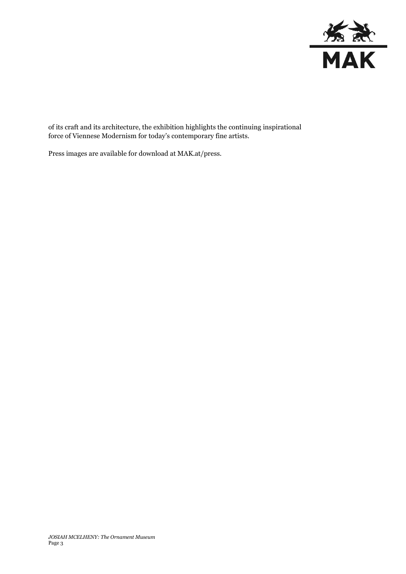

of its craft and its architecture, the exhibition highlights the continuing inspirational force of Viennese Modernism for today's contemporary fine artists.

Press images are available for download at MAK.at/press.